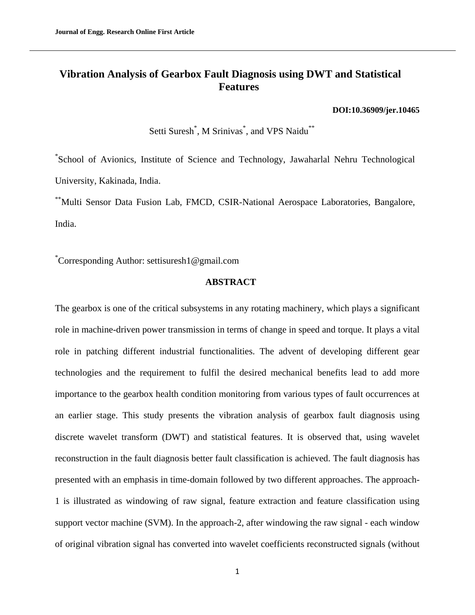# **Vibration Analysis of Gearbox Fault Diagnosis using DWT and Statistical Features**

#### **[DOI:10.36909/jer.10465](https://doi.org/10.36909/jer.10465)**

Setti Suresh<sup>\*</sup>, M Srinivas<sup>\*</sup>, and VPS Naidu<sup>\*\*</sup>

\* School of Avionics, Institute of Science and Technology, Jawaharlal Nehru Technological University, Kakinada, India.

\*\*Multi Sensor Data Fusion Lab, FMCD, CSIR-National Aerospace Laboratories, Bangalore, India.

\*Corresponding Author: settisuresh1@gmail.com

# **ABSTRACT**

The gearbox is one of the critical subsystems in any rotating machinery, which plays a significant role in machine-driven power transmission in terms of change in speed and torque. It plays a vital role in patching different industrial functionalities. The advent of developing different gear technologies and the requirement to fulfil the desired mechanical benefits lead to add more importance to the gearbox health condition monitoring from various types of fault occurrences at an earlier stage. This study presents the vibration analysis of gearbox fault diagnosis using discrete wavelet transform (DWT) and statistical features. It is observed that, using wavelet reconstruction in the fault diagnosis better fault classification is achieved. The fault diagnosis has presented with an emphasis in time-domain followed by two different approaches. The approach-1 is illustrated as windowing of raw signal, feature extraction and feature classification using support vector machine (SVM). In the approach-2, after windowing the raw signal - each window of original vibration signal has converted into wavelet coefficients reconstructed signals (without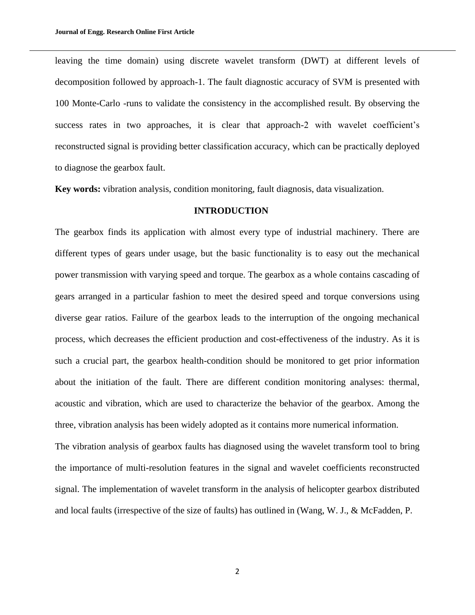leaving the time domain) using discrete wavelet transform (DWT) at different levels of decomposition followed by approach-1. The fault diagnostic accuracy of SVM is presented with 100 Monte-Carlo -runs to validate the consistency in the accomplished result. By observing the success rates in two approaches, it is clear that approach-2 with wavelet coefficient's reconstructed signal is providing better classification accuracy, which can be practically deployed to diagnose the gearbox fault.

**Key words:** vibration analysis, condition monitoring, fault diagnosis, data visualization.

# **INTRODUCTION**

The gearbox finds its application with almost every type of industrial machinery. There are different types of gears under usage, but the basic functionality is to easy out the mechanical power transmission with varying speed and torque. The gearbox as a whole contains cascading of gears arranged in a particular fashion to meet the desired speed and torque conversions using diverse gear ratios. Failure of the gearbox leads to the interruption of the ongoing mechanical process, which decreases the efficient production and cost-effectiveness of the industry. As it is such a crucial part, the gearbox health-condition should be monitored to get prior information about the initiation of the fault. There are different condition monitoring analyses: thermal, acoustic and vibration, which are used to characterize the behavior of the gearbox. Among the three, vibration analysis has been widely adopted as it contains more numerical information.

The vibration analysis of gearbox faults has diagnosed using the wavelet transform tool to bring the importance of multi-resolution features in the signal and wavelet coefficients reconstructed signal. The implementation of wavelet transform in the analysis of helicopter gearbox distributed and local faults (irrespective of the size of faults) has outlined in (Wang, W. J., & McFadden, P.

2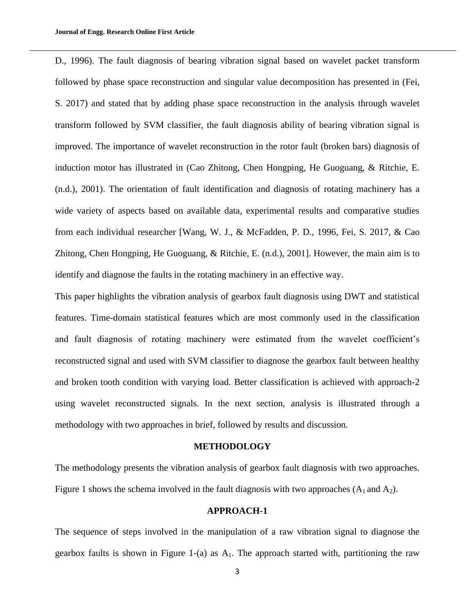D., 1996). The fault diagnosis of bearing vibration signal based on wavelet packet transform followed by phase space reconstruction and singular value decomposition has presented in (Fei, S. 2017) and stated that by adding phase space reconstruction in the analysis through wavelet transform followed by SVM classifier, the fault diagnosis ability of bearing vibration signal is improved. The importance of wavelet reconstruction in the rotor fault (broken bars) diagnosis of induction motor has illustrated in (Cao Zhitong, Chen Hongping, He Guoguang, & Ritchie, E. (n.d.), 2001). The orientation of fault identification and diagnosis of rotating machinery has a wide variety of aspects based on available data, experimental results and comparative studies from each individual researcher [Wang, W. J., & McFadden, P. D., 1996, Fei, S. 2017, & Cao Zhitong, Chen Hongping, He Guoguang, & Ritchie, E. (n.d.), 2001]. However, the main aim is to identify and diagnose the faults in the rotating machinery in an effective way.

This paper highlights the vibration analysis of gearbox fault diagnosis using DWT and statistical features. Time-domain statistical features which are most commonly used in the classification and fault diagnosis of rotating machinery were estimated from the wavelet coefficient's reconstructed signal and used with SVM classifier to diagnose the gearbox fault between healthy and broken tooth condition with varying load. Better classification is achieved with approach-2 using wavelet reconstructed signals. In the next section, analysis is illustrated through a methodology with two approaches in brief, followed by results and discussion.

### **METHODOLOGY**

The methodology presents the vibration analysis of gearbox fault diagnosis with two approaches. Figure 1 shows the schema involved in the fault diagnosis with two approaches  $(A_1 \text{ and } A_2)$ .

#### **APPROACH-1**

The sequence of steps involved in the manipulation of a raw vibration signal to diagnose the gearbox faults is shown in Figure 1-(a) as  $A_1$ . The approach started with, partitioning the raw

3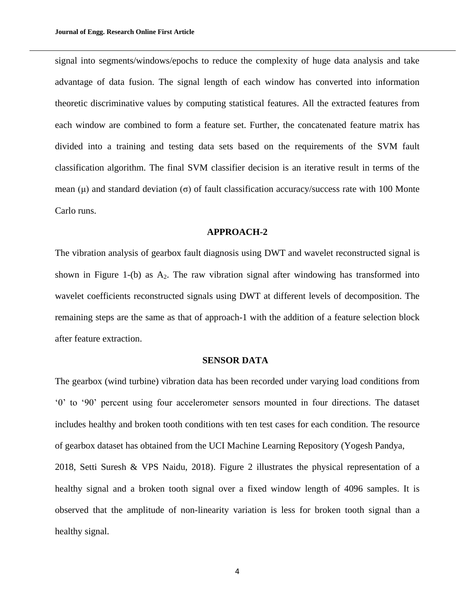signal into segments/windows/epochs to reduce the complexity of huge data analysis and take advantage of data fusion. The signal length of each window has converted into information theoretic discriminative values by computing statistical features. All the extracted features from each window are combined to form a feature set. Further, the concatenated feature matrix has divided into a training and testing data sets based on the requirements of the SVM fault classification algorithm. The final SVM classifier decision is an iterative result in terms of the mean  $(\mu)$  and standard deviation  $(\sigma)$  of fault classification accuracy/success rate with 100 Monte Carlo runs.

#### **APPROACH-2**

The vibration analysis of gearbox fault diagnosis using DWT and wavelet reconstructed signal is shown in Figure 1-(b) as  $A_2$ . The raw vibration signal after windowing has transformed into wavelet coefficients reconstructed signals using DWT at different levels of decomposition. The remaining steps are the same as that of approach-1 with the addition of a feature selection block after feature extraction.

### **SENSOR DATA**

The gearbox (wind turbine) vibration data has been recorded under varying load conditions from '0' to '90' percent using four accelerometer sensors mounted in four directions. The dataset includes healthy and broken tooth conditions with ten test cases for each condition. The resource of gearbox dataset has obtained from the UCI Machine Learning Repository (Yogesh Pandya, 2018, Setti Suresh & VPS Naidu, 2018). Figure 2 illustrates the physical representation of a healthy signal and a broken tooth signal over a fixed window length of 4096 samples. It is observed that the amplitude of non-linearity variation is less for broken tooth signal than a healthy signal.

4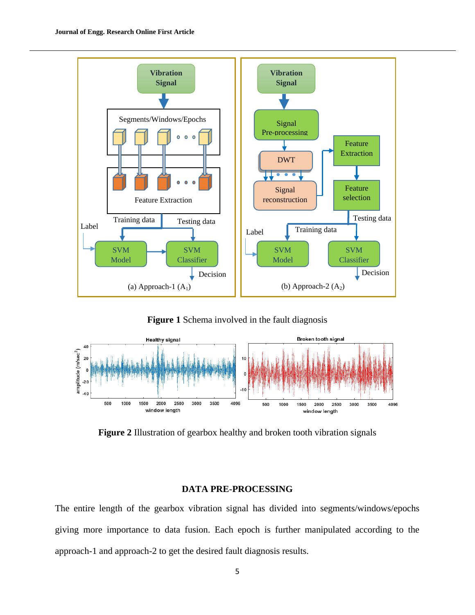

**Figure 1** Schema involved in the fault diagnosis



**Figure 2** Illustration of gearbox healthy and broken tooth vibration signals

# **DATA PRE-PROCESSING**

The entire length of the gearbox vibration signal has divided into segments/windows/epochs giving more importance to data fusion. Each epoch is further manipulated according to the approach-1 and approach-2 to get the desired fault diagnosis results.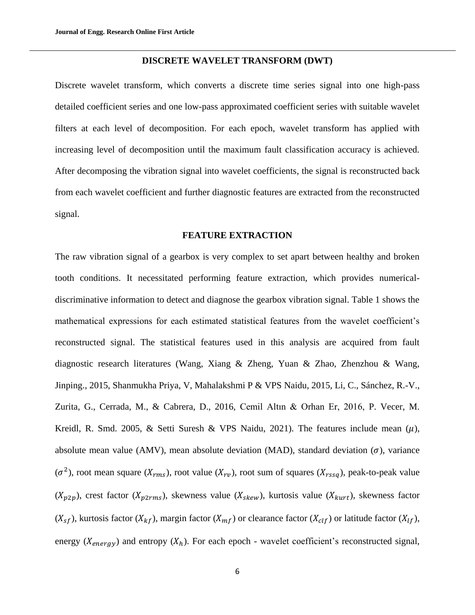### **DISCRETE WAVELET TRANSFORM (DWT)**

Discrete wavelet transform, which converts a discrete time series signal into one high-pass detailed coefficient series and one low-pass approximated coefficient series with suitable wavelet filters at each level of decomposition. For each epoch, wavelet transform has applied with increasing level of decomposition until the maximum fault classification accuracy is achieved. After decomposing the vibration signal into wavelet coefficients, the signal is reconstructed back from each wavelet coefficient and further diagnostic features are extracted from the reconstructed signal.

## **FEATURE EXTRACTION**

The raw vibration signal of a gearbox is very complex to set apart between healthy and broken tooth conditions. It necessitated performing feature extraction, which provides numericaldiscriminative information to detect and diagnose the gearbox vibration signal. Table 1 shows the mathematical expressions for each estimated statistical features from the wavelet coefficient's reconstructed signal. The statistical features used in this analysis are acquired from fault diagnostic research literatures (Wang, Xiang & Zheng, Yuan & Zhao, Zhenzhou & Wang, Jinping., 2015, Shanmukha Priya, V, Mahalakshmi P & VPS Naidu, 2015, Li, C., Sánchez, R.-V., Zurita, G., Cerrada, M., & Cabrera, D., 2016, Cemil Altın & Orhan Er, 2016, P. Vecer, M. Kreidl, R. Smd. 2005, & Setti Suresh & VPS Naidu, 2021). The features include mean  $(\mu)$ , absolute mean value (AMV), mean absolute deviation (MAD), standard deviation  $(\sigma)$ , variance  $(\sigma^2)$ , root mean square  $(X_{rms})$ , root value  $(X_{ry})$ , root sum of squares  $(X_{rss})$ , peak-to-peak value  $(X_{p2p})$ , crest factor  $(X_{p2rms})$ , skewness value  $(X_{skew})$ , kurtosis value  $(X_{kurt})$ , skewness factor  $(X_{sf})$ , kurtosis factor  $(X_{kf})$ , margin factor  $(X_{mf})$  or clearance factor  $(X_{clf})$  or latitude factor  $(X_{lf})$ , energy ( $X_{energy}$ ) and entropy ( $X_h$ ). For each epoch - wavelet coefficient's reconstructed signal,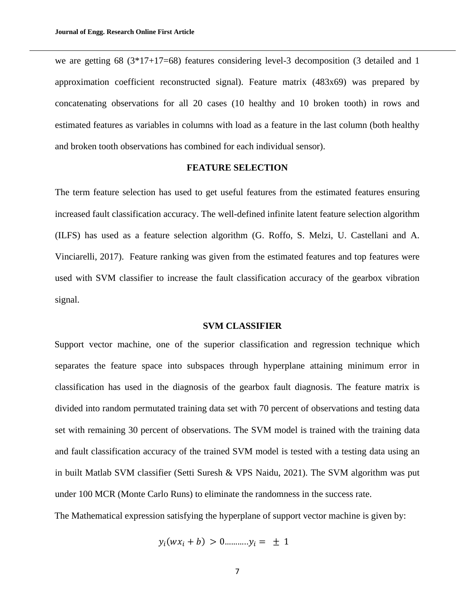we are getting 68  $(3*17+17=68)$  features considering level-3 decomposition  $(3)$  detailed and 1 approximation coefficient reconstructed signal). Feature matrix (483x69) was prepared by concatenating observations for all 20 cases (10 healthy and 10 broken tooth) in rows and estimated features as variables in columns with load as a feature in the last column (both healthy and broken tooth observations has combined for each individual sensor).

### **FEATURE SELECTION**

The term feature selection has used to get useful features from the estimated features ensuring increased fault classification accuracy. The well-defined infinite latent feature selection algorithm (ILFS) has used as a feature selection algorithm (G. Roffo, S. Melzi, U. Castellani and A. Vinciarelli, 2017). Feature ranking was given from the estimated features and top features were used with SVM classifier to increase the fault classification accuracy of the gearbox vibration signal.

## **SVM CLASSIFIER**

Support vector machine, one of the superior classification and regression technique which separates the feature space into subspaces through hyperplane attaining minimum error in classification has used in the diagnosis of the gearbox fault diagnosis. The feature matrix is divided into random permutated training data set with 70 percent of observations and testing data set with remaining 30 percent of observations. The SVM model is trained with the training data and fault classification accuracy of the trained SVM model is tested with a testing data using an in built Matlab SVM classifier (Setti Suresh & VPS Naidu, 2021). The SVM algorithm was put under 100 MCR (Monte Carlo Runs) to eliminate the randomness in the success rate.

The Mathematical expression satisfying the hyperplane of support vector machine is given by:

$$
y_i(wx_i + b) > 0
$$
..........., $y_i = \pm 1$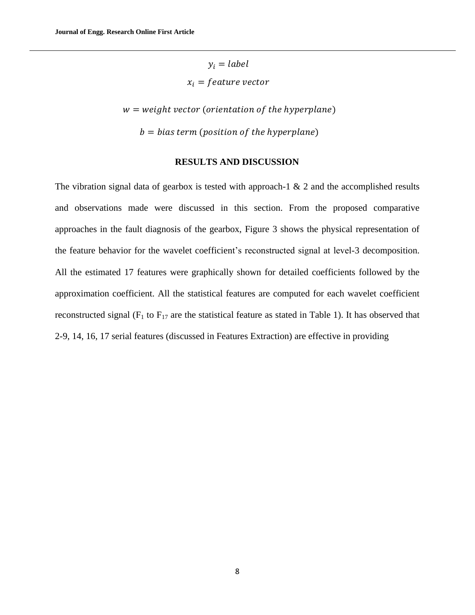$y_i = label$  $x_i = feature vector$ 

 $w = weight vector (orientation of the hyperplane)$  $b = bias$  term (position of the hyperplane)

#### **RESULTS AND DISCUSSION**

The vibration signal data of gearbox is tested with approach-1  $\&$  2 and the accomplished results and observations made were discussed in this section. From the proposed comparative approaches in the fault diagnosis of the gearbox, Figure 3 shows the physical representation of the feature behavior for the wavelet coefficient's reconstructed signal at level-3 decomposition. All the estimated 17 features were graphically shown for detailed coefficients followed by the approximation coefficient. All the statistical features are computed for each wavelet coefficient reconstructed signal ( $F_1$  to  $F_{17}$  are the statistical feature as stated in Table 1). It has observed that 2-9, 14, 16, 17 serial features (discussed in Features Extraction) are effective in providing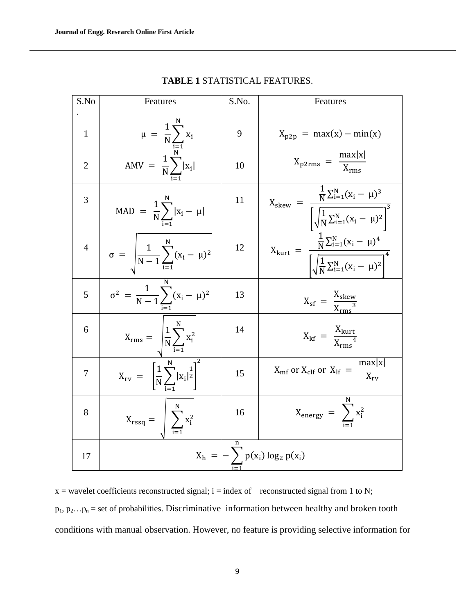| S.No           | Features                                                                           | S.No. | Features                                                                                                                              |  |  |  |
|----------------|------------------------------------------------------------------------------------|-------|---------------------------------------------------------------------------------------------------------------------------------------|--|--|--|
| $\mathbf{1}$   |                                                                                    | 9     | $X_{p2p} = max(x) - min(x)$                                                                                                           |  |  |  |
| $\overline{2}$ | $\mu = \frac{1}{N} \sum_{i=1}^{N} x_i$<br>AMV = $\frac{1}{N} \sum_{i=1}^{N}  x_i $ | 10    | $X_{p2rms} = \frac{max x }{X_{rms}}$                                                                                                  |  |  |  |
| 3              | $\text{MAD} \ = \ \frac{1}{N} \sum_i  x_i - \mu $                                  | 11    | $X_{\text{skew}} = \frac{\frac{1}{N} \sum_{i=1}^{N} (x_i - \mu)^3}{\sqrt{\frac{1}{N} \sum_{i=1}^{N} (x_i - \mu)^2}^3}$                |  |  |  |
| $\overline{4}$ | $\sigma = \left  \frac{1}{N-1} \sum_{i=1}^{N} (x_i - \mu)^2 \right $               | 12    | $X_{\text{kurt}} = \frac{\frac{1}{N} \sum_{i=1}^{N} (x_i - \mu)^4}{\left[ \sqrt{\frac{1}{N} \sum_{i=1}^{N} (x_i - \mu)^2} \right]^4}$ |  |  |  |
| 5              | $\sigma^2 = \frac{1}{N-1} \sum_{i=1}^{N} (x_i - \mu)^2$                            | 13    | $X_{\rm sf} = \frac{X_{\rm skew}}{X_{\rm max}^3}$                                                                                     |  |  |  |
| 6              | $X_{\text{rms}} = \sqrt{\frac{1}{N} \sum_{i=1}^{N} x_i^2}$                         | 14    | $X_{\rm kf} = \frac{X_{\rm kurt}}{X_{\rm max}^4}$                                                                                     |  |  |  |
| $\overline{7}$ | $X_{\text{rv}} = \left[ \frac{1}{N} \sum_{i=1}^{N}  x_i ^{\frac{1}{2}} \right]^2$  | 15    | $X_{\rm mf}$ or $X_{\rm clf}$ or $X_{\rm lf} = \frac{\max x }{X_{\rm rv}}$                                                            |  |  |  |
| 8              | $X_{\text{rssq}} = \left  \sum_{i=1}^{N} x_i^2 \right $                            | 16    | $X_{\text{energy}} = \sum x_i^2$                                                                                                      |  |  |  |
| 17             |                                                                                    |       | $X_h = -\sum p(x_i) \log_2 p(x_i)$                                                                                                    |  |  |  |

**TABLE 1** STATISTICAL FEATURES.

 $x =$  wavelet coefficients reconstructed signal;  $i =$  index of reconstructed signal from 1 to N;  $p_1, p_2...p_n$  = set of probabilities. Discriminative information between healthy and broken tooth conditions with manual observation. However, no feature is providing selective information for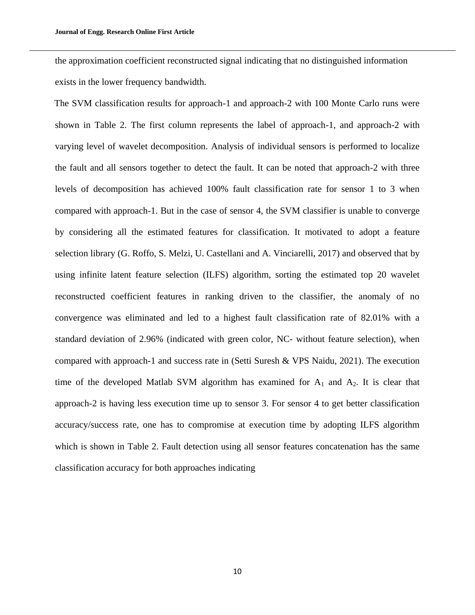the approximation coefficient reconstructed signal indicating that no distinguished information exists in the lower frequency bandwidth.

The SVM classification results for approach-1 and approach-2 with 100 Monte Carlo runs were shown in Table 2. The first column represents the label of approach-1, and approach-2 with varying level of wavelet decomposition. Analysis of individual sensors is performed to localize the fault and all sensors together to detect the fault. It can be noted that approach-2 with three levels of decomposition has achieved 100% fault classification rate for sensor 1 to 3 when compared with approach-1. But in the case of sensor 4, the SVM classifier is unable to converge by considering all the estimated features for classification. It motivated to adopt a feature selection library (G. Roffo, S. Melzi, U. Castellani and A. Vinciarelli, 2017) and observed that by using infinite latent feature selection (ILFS) algorithm, sorting the estimated top 20 wavelet reconstructed coefficient features in ranking driven to the classifier, the anomaly of no convergence was eliminated and led to a highest fault classification rate of 82.01% with a standard deviation of 2.96% (indicated with green color, NC- without feature selection), when compared with approach-1 and success rate in (Setti Suresh & VPS Naidu, 2021). The execution time of the developed Matlab SVM algorithm has examined for  $A_1$  and  $A_2$ . It is clear that approach-2 is having less execution time up to sensor 3. For sensor 4 to get better classification accuracy/success rate, one has to compromise at execution time by adopting ILFS algorithm which is shown in Table 2. Fault detection using all sensor features concatenation has the same classification accuracy for both approaches indicating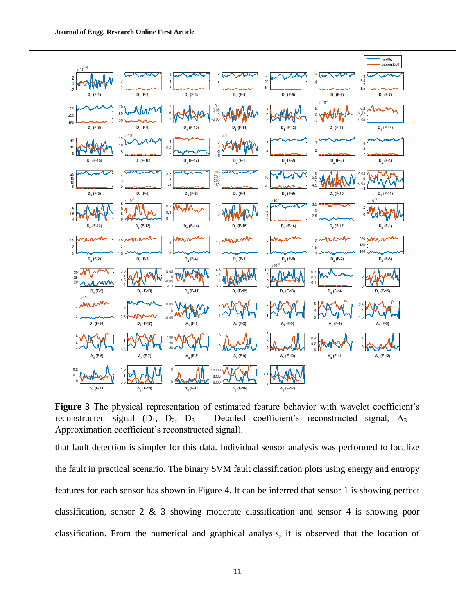

**Figure 3** The physical representation of estimated feature behavior with wavelet coefficient's reconstructed signal  $(D_1, D_2, D_3 =$  Detailed coefficient's reconstructed signal,  $A_3 =$ Approximation coefficient's reconstructed signal).

that fault detection is simpler for this data. Individual sensor analysis was performed to localize the fault in practical scenario. The binary SVM fault classification plots using energy and entropy features for each sensor has shown in Figure 4. It can be inferred that sensor 1 is showing perfect classification, sensor 2 & 3 showing moderate classification and sensor 4 is showing poor classification. From the numerical and graphical analysis, it is observed that the location of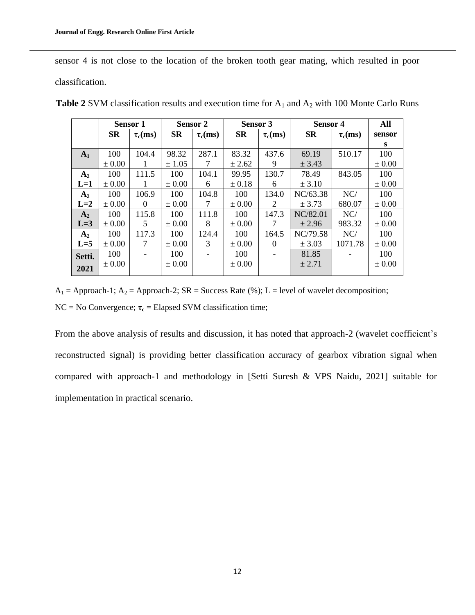sensor 4 is not close to the location of the broken tooth gear mating, which resulted in poor classification.

|                | <b>Sensor 1</b> |               | <b>Sensor 2</b> |               | Sensor 3   |               | <b>Sensor 4</b> |               | All        |
|----------------|-----------------|---------------|-----------------|---------------|------------|---------------|-----------------|---------------|------------|
|                | <b>SR</b>       | $\tau_c$ (ms) | <b>SR</b>       | $\tau_c$ (ms) | <b>SR</b>  | $\tau_c$ (ms) | <b>SR</b>       | $\tau_c$ (ms) | sensor     |
|                |                 |               |                 |               |            |               |                 |               | s          |
| A <sub>1</sub> | 100             | 104.4         | 98.32           | 287.1         | 83.32      | 437.6         | 69.19           | 510.17        | 100        |
|                | $\pm 0.00$      |               | ± 1.05          |               | ± 2.62     | 9             | ± 3.43          |               | $\pm 0.00$ |
| A <sub>2</sub> | 100             | 111.5         | 100             | 104.1         | 99.95      | 130.7         | 78.49           | 843.05        | 100        |
| $L=1$          | $\pm 0.00$      |               | $\pm 0.00$      | 6             | $\pm 0.18$ | 6             | ± 3.10          |               | $\pm 0.00$ |
| $A_2$          | 100             | 106.9         | 100             | 104.8         | 100        | 134.0         | NC/63.38        | NC/           | 100        |
| $L=2$          | $\pm 0.00$      | $\theta$      | $\pm 0.00$      | 7             | $\pm 0.00$ | 2             | ± 3.73          | 680.07        | $\pm 0.00$ |
| $A_2$          | 100             | 115.8         | 100             | 111.8         | 100        | 147.3         | NC/82.01        | NC/           | 100        |
| $L=3$          | $\pm 0.00$      | 5             | $\pm 0.00$      | 8             | $\pm 0.00$ | 7             | ± 2.96          | 983.32        | $\pm 0.00$ |
| $A_2$          | 100             | 117.3         | 100             | 124.4         | 100        | 164.5         | NC/79.58        | NC/           | 100        |
| $L=5$          | $\pm 0.00$      | 7             | $\pm 0.00$      | 3             | $\pm 0.00$ | $\theta$      | ± 3.03          | 1071.78       | $\pm 0.00$ |
| Setti.         | 100             |               | 100             |               | 100        |               | 81.85           |               | 100        |
| 2021           | $\pm 0.00$      |               | $\pm 0.00$      |               | $\pm 0.00$ |               | ± 2.71          |               | $\pm 0.00$ |
|                |                 |               |                 |               |            |               |                 |               |            |

Table 2 SVM classification results and execution time for A<sub>1</sub> and A<sub>2</sub> with 100 Monte Carlo Runs

 $A_1$  = Approach-1;  $A_2$  = Approach-2; SR = Success Rate (%); L = level of wavelet decomposition; NC = No Convergence; **τ<sup>c</sup> =** Elapsed SVM classification time;

From the above analysis of results and discussion, it has noted that approach-2 (wavelet coefficient's reconstructed signal) is providing better classification accuracy of gearbox vibration signal when compared with approach-1 and methodology in [Setti Suresh & VPS Naidu, 2021] suitable for implementation in practical scenario.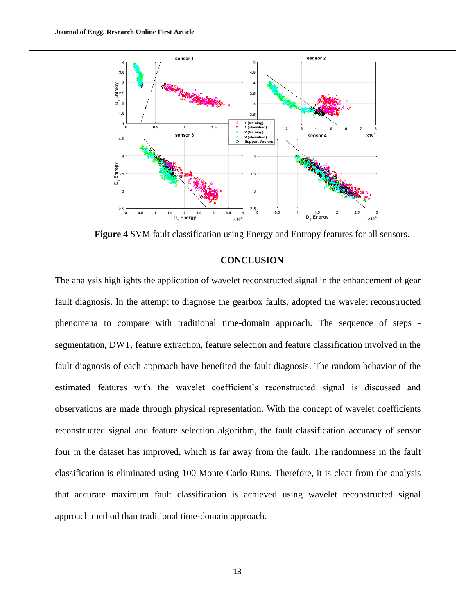

**Figure 4** SVM fault classification using Energy and Entropy features for all sensors.

## **CONCLUSION**

The analysis highlights the application of wavelet reconstructed signal in the enhancement of gear fault diagnosis. In the attempt to diagnose the gearbox faults, adopted the wavelet reconstructed phenomena to compare with traditional time-domain approach. The sequence of steps segmentation, DWT, feature extraction, feature selection and feature classification involved in the fault diagnosis of each approach have benefited the fault diagnosis. The random behavior of the estimated features with the wavelet coefficient's reconstructed signal is discussed and observations are made through physical representation. With the concept of wavelet coefficients reconstructed signal and feature selection algorithm, the fault classification accuracy of sensor four in the dataset has improved, which is far away from the fault. The randomness in the fault classification is eliminated using 100 Monte Carlo Runs. Therefore, it is clear from the analysis that accurate maximum fault classification is achieved using wavelet reconstructed signal approach method than traditional time-domain approach.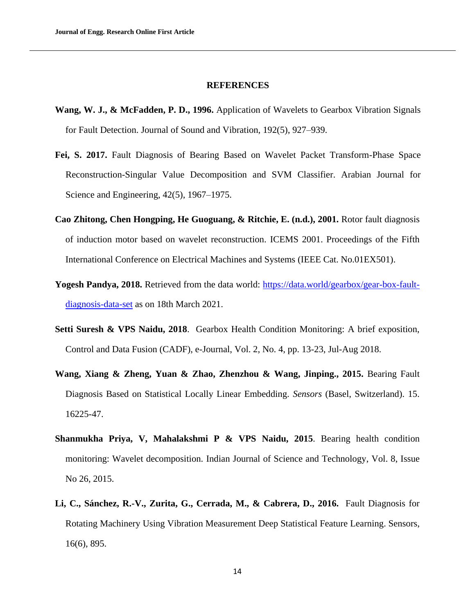#### **REFERENCES**

- **Wang, W. J., & McFadden, P. D., 1996.** Application of Wavelets to Gearbox Vibration Signals for Fault Detection. Journal of Sound and Vibration, 192(5), 927–939.
- **Fei, S. 2017.** Fault Diagnosis of Bearing Based on Wavelet Packet Transform-Phase Space Reconstruction-Singular Value Decomposition and SVM Classifier. Arabian Journal for Science and Engineering, 42(5), 1967–1975.
- **Cao Zhitong, Chen Hongping, He Guoguang, & Ritchie, E. (n.d.), 2001.** Rotor fault diagnosis of induction motor based on wavelet reconstruction. ICEMS 2001. Proceedings of the Fifth International Conference on Electrical Machines and Systems (IEEE Cat. No.01EX501).
- **Yogesh Pandya, 2018.** Retrieved from the data world: [https://data.world/gearbox/gear-box-fault](https://data.world/gearbox/gear-box-fault-diagnosis-data-set)[diagnosis-data-set](https://data.world/gearbox/gear-box-fault-diagnosis-data-set) as on 18th March 2021.
- Setti Suresh & VPS Naidu, 2018. Gearbox Health Condition Monitoring: A brief exposition, Control and Data Fusion (CADF), e-Journal, Vol. 2, No. 4, pp. 13-23, Jul-Aug 2018.
- **Wang, Xiang & Zheng, Yuan & Zhao, Zhenzhou & Wang, Jinping., 2015.** Bearing Fault Diagnosis Based on Statistical Locally Linear Embedding. *Sensors* (Basel, Switzerland). 15. 16225-47.
- **Shanmukha Priya, V, Mahalakshmi P & VPS Naidu, 2015**. Bearing health condition monitoring: Wavelet decomposition. Indian Journal of Science and Technology, Vol. 8, Issue No 26, 2015.
- **Li, C., Sánchez, R.-V., Zurita, G., Cerrada, M., & Cabrera, D., 2016.** Fault Diagnosis for Rotating Machinery Using Vibration Measurement Deep Statistical Feature Learning. Sensors, 16(6), 895.